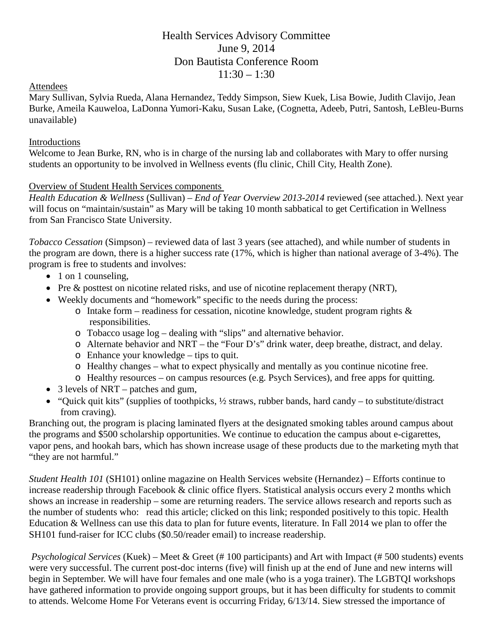# Health Services Advisory Committee June 9, 2014 Don Bautista Conference Room  $11:30 - 1:30$

### Attendees

Mary Sullivan, Sylvia Rueda, Alana Hernandez, Teddy Simpson, Siew Kuek, Lisa Bowie, Judith Clavijo, Jean Burke, Ameila Kauweloa, LaDonna Yumori-Kaku, Susan Lake, (Cognetta, Adeeb, Putri, Santosh, LeBleu-Burns unavailable)

### Introductions

Welcome to Jean Burke, RN, who is in charge of the nursing lab and collaborates with Mary to offer nursing students an opportunity to be involved in Wellness events (flu clinic, Chill City, Health Zone).

### Overview of Student Health Services components

*Health Education & Wellness* (Sullivan) – *End of Year Overview 2013-2014* reviewed (see attached.). Next year will focus on "maintain/sustain" as Mary will be taking 10 month sabbatical to get Certification in Wellness from San Francisco State University.

*Tobacco Cessation* (Simpson) – reviewed data of last 3 years (see attached), and while number of students in the program are down, there is a higher success rate (17%, which is higher than national average of 3-4%). The program is free to students and involves:

- 1 on 1 counseling,
- Pre & posttest on nicotine related risks, and use of nicotine replacement therapy (NRT),
- Weekly documents and "homework" specific to the needs during the process:
	- $\circ$  Intake form readiness for cessation, nicotine knowledge, student program rights & responsibilities.
	- o Tobacco usage log dealing with "slips" and alternative behavior.
	- o Alternate behavior and NRT the "Four D's" drink water, deep breathe, distract, and delay.
	- o Enhance your knowledge tips to quit.
	- o Healthy changes what to expect physically and mentally as you continue nicotine free.
	- o Healthy resources on campus resources (e.g. Psych Services), and free apps for quitting.
- 3 levels of NRT patches and gum,
- "Ouick quit kits" (supplies of toothpicks,  $\frac{1}{2}$  straws, rubber bands, hard candy to substitute/distract from craving).

Branching out, the program is placing laminated flyers at the designated smoking tables around campus about the programs and \$500 scholarship opportunities. We continue to education the campus about e-cigarettes, vapor pens, and hookah bars, which has shown increase usage of these products due to the marketing myth that "they are not harmful."

*Student Health 101* (SH101) online magazine on Health Services website (Hernandez) – Efforts continue to increase readership through Facebook & clinic office flyers. Statistical analysis occurs every 2 months which shows an increase in readership – some are returning readers. The service allows research and reports such as the number of students who: read this article; clicked on this link; responded positively to this topic. Health Education & Wellness can use this data to plan for future events, literature. In Fall 2014 we plan to offer the SH101 fund-raiser for ICC clubs (\$0.50/reader email) to increase readership.

*Psychological Services* (Kuek) – Meet & Greet (# 100 participants) and Art with Impact (# 500 students) events were very successful. The current post-doc interns (five) will finish up at the end of June and new interns will begin in September. We will have four females and one male (who is a yoga trainer). The LGBTQI workshops have gathered information to provide ongoing support groups, but it has been difficulty for students to commit to attends. Welcome Home For Veterans event is occurring Friday, 6/13/14. Siew stressed the importance of